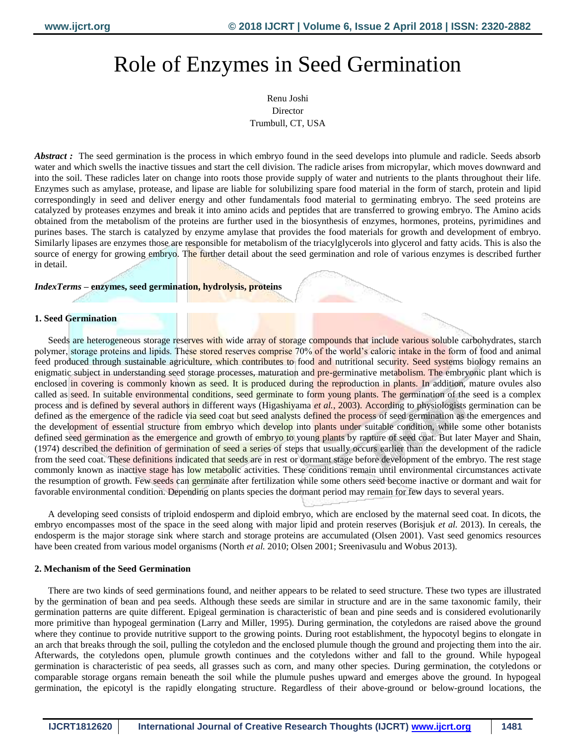# Role of Enzymes in Seed Germination

Renu Joshi Director Trumbull, CT, USA

*Abstract* : The seed germination is the process in which embryo found in the seed develops into plumule and radicle. Seeds absorb water and which swells the inactive tissues and start the cell division. The radicle arises from micropylar, which moves downward and into the soil. These radicles later on change into roots those provide supply of water and nutrients to the plants throughout their life. Enzymes such as amylase, protease, and lipase are liable for solubilizing spare food material in the form of starch, protein and lipid correspondingly in seed and deliver energy and other fundamentals food material to germinating embryo. The seed proteins are catalyzed by proteases enzymes and break it into amino acids and peptides that are transferred to growing embryo. The Amino acids obtained from the metabolism of the proteins are further used in the biosynthesis of enzymes, hormones, proteins, pyrimidines and purines bases. The starch is catalyzed by enzyme amylase that provides the food materials for growth and development of embryo. Similarly lipases are enzymes those are responsible for metabolism of the triacylglycerols into glycerol and fatty acids. This is also the source of energy for growing embryo. The further detail about the seed germination and role of various enzymes is described further in detail.

### *IndexTerms* **– enzymes, seed germination, hydrolysis, proteins**

# **1. Seed Germination**

Seeds are heterogeneous storage reserves with wide array of storage compounds that include various soluble carbohydrates, starch polymer, storage proteins and lipids. These stored reserves comprise 70% of the world's caloric intake in the form of food and animal feed produced through sustainable agriculture, which contributes to food and nutritional security. Seed systems biology remains an enigmatic subject in understanding seed storage processes, maturation and pre-germinative metabolism. The embryonic plant which is enclosed in covering is commonly known as seed. It is produced during the reproduction in plants. In addition, mature ovules also called as seed. In suitable environmental conditions, seed germinate to form young plants. The germination of the seed is a complex process and is defined by several authors in different ways (Higashiyama *et al.*, 2003). According to physiologists germination can be defined as the emergence of the radicle via seed coat but seed analysts defined the process of seed germination as the emergences and the development of essential structure from embryo which develop into plants under suitable condition, while some other botanists defined seed germination as the emergence and growth of embryo to young plants by rapture of seed coat. But later Mayer and Shain, (1974) described the definition of germination of seed a series of steps that usually occurs earlier than the development of the radicle from the seed coat. These definitions indicated that seeds are in rest or dormant stage before development of the embryo. The rest stage commonly known as inactive stage has low metabolic activities. These conditions remain until environmental circumstances activate the resumption of growth. Few seeds can germinate after fertilization while some others seed become inactive or dormant and wait for favorable environmental condition. Depending on plants species the dormant period may remain for few days to several years.

A developing seed consists of triploid endosperm and diploid embryo, which are enclosed by the maternal seed coat. In dicots, the embryo encompasses most of the space in the seed along with major lipid and protein reserves (Borisjuk *et al.* 2013). In cereals, the endosperm is the major storage sink where starch and storage proteins are accumulated (Olsen 2001). Vast seed genomics resources have been created from various model organisms (North *et al.* 2010; Olsen 2001; Sreenivasulu and Wobus 2013).

### **2. Mechanism of the Seed Germination**

There are two kinds of seed germinations found, and neither appears to be related to seed structure. These two types are illustrated by the germination of bean and pea seeds. Although these seeds are similar in structure and are in the same taxonomic family, their germination patterns are quite different. Epigeal germination is characteristic of bean and pine seeds and is considered evolutionarily more primitive than hypogeal germination (Larry and Miller, 1995). During germination, the cotyledons are raised above the ground where they continue to provide nutritive support to the growing points. During root establishment, the hypocotyl begins to elongate in an arch that breaks through the soil, pulling the cotyledon and the enclosed plumule though the ground and projecting them into the air. Afterwards, the cotyledons open, plumule growth continues and the cotyledons wither and fall to the ground. While hypogeal germination is characteristic of pea seeds, all grasses such as corn, and many other species. During germination, the cotyledons or comparable storage organs remain beneath the soil while the plumule pushes upward and emerges above the ground. In hypogeal germination, the epicotyl is the rapidly elongating structure. Regardless of their above-ground or below-ground locations, the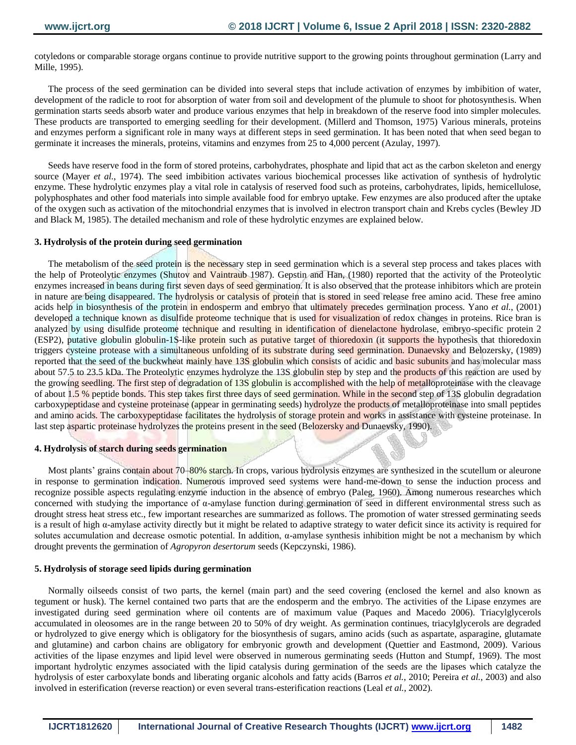cotyledons or comparable storage organs continue to provide nutritive support to the growing points throughout germination (Larry and Mille, 1995).

The process of the seed germination can be divided into several steps that include activation of enzymes by imbibition of water, development of the radicle to root for absorption of water from soil and development of the plumule to shoot for photosynthesis. When germination starts seeds absorb water and produce various enzymes that help in breakdown of the reserve food into simpler molecules. These products are transported to emerging seedling for their development. (Millerd and Thomson, 1975) Various minerals, proteins and enzymes perform a significant role in many ways at different steps in seed germination. It has been noted that when seed began to germinate it increases the minerals, proteins, vitamins and enzymes from 25 to 4,000 percent (Azulay, 1997).

Seeds have reserve food in the form of stored proteins, carbohydrates, phosphate and lipid that act as the carbon skeleton and energy source (Mayer *et al.*, 1974). The seed imbibition activates various biochemical processes like activation of synthesis of hydrolytic enzyme. These hydrolytic enzymes play a vital role in catalysis of reserved food such as proteins, carbohydrates, lipids, hemicellulose, polyphosphates and other food materials into simple available food for embryo uptake. Few enzymes are also produced after the uptake of the oxygen such as activation of the mitochondrial enzymes that is involved in electron transport chain and Krebs cycles (Bewley JD and Black M, 1985). The detailed mechanism and role of these hydrolytic enzymes are explained below.

### **3. Hydrolysis of the protein during seed germination**

The metabolism of the seed protein is the necessary step in seed germination which is a several step process and takes places with the help of Proteolytic enzymes (Shutov and Vaintraub 1987). Gepstin and Han, (1980) reported that the activity of the Proteolytic enzymes increased in beans during first seven days of seed germination. It is also observed that the protease inhibitors which are protein in nature are being disappeared. The hydrolysis or catalysis of protein that is stored in seed release free amino acid. These free amino acids help in biosynthesis of the protein in endosperm and embryo that ultimately precedes germination process. Yano *et al.*, (2001) developed a technique known as disulfide proteome technique that is used for visualization of redox changes in proteins. Rice bran is analyzed by using disulfide proteome technique and resulting in identification of dienelactone hydrolase, embryo-specific protein 2 (ESP2), putative globulin globulin-1S-like protein such as putative target of thioredoxin (it supports the hypothesis that thioredoxin triggers cysteine protease with a simultaneous unfolding of its substrate during seed germination. Dunaevsky and Belozersky, (1989) reported that the seed of the buckwheat mainly have 13S globulin which consists of acidic and basic subunits and has molecular mass about 57.5 to 23.5 kDa. The Proteolytic enzymes hydrolyze the 13S globulin step by step and the products of this reaction are used by the growing seedling. The first step of degradation of 13S globulin is accomplished with the help of metalloproteinase with the cleavage of about 1.5 % peptide bonds. This step takes first three days of seed germination. While in the second step of 13S globulin degradation carboxypeptidase and cysteine proteinase (appear in germinating seeds) hydrolyze the products of metalloproteinase into small peptides and amino acids. The carboxypeptidase facilitates the hydrolysis of storage protein and works in assistance with cysteine proteinase. In last step aspartic proteinase hydrolyzes the proteins present in the seed (Belozersky and Dunaevsky, 1990).

### **4. Hydrolysis of starch during seeds germination**

Most plants' grains contain about 70–80% starch. In crops, various hydrolysis enzymes are synthesized in the scutellum or aleurone in response to germination indication. Numerous improved seed systems were hand-me-down to sense the induction process and recognize possible aspects regulating enzyme induction in the absence of embryo (Paleg, 1960). Among numerous researches which concerned with studying the importance of α-amylase function during germination of seed in different environmental stress such as drought stress heat stress etc., few important researches are summarized as follows. The promotion of water stressed germinating seeds is a result of high α-amylase activity directly but it might be related to adaptive strategy to water deficit since its activity is required for solutes accumulation and decrease osmotic potential. In addition, α-amylase synthesis inhibition might be not a mechanism by which drought prevents the germination of *Agropyron desertorum* seeds (Kepczynski, 1986).

### **5. Hydrolysis of storage seed lipids during germination**

Normally oilseeds consist of two parts, the kernel (main part) and the seed covering (enclosed the kernel and also known as tegument or husk). The kernel contained two parts that are the endosperm and the embryo. The activities of the Lipase enzymes are investigated during seed germination where oil contents are of maximum value (Paques and Macedo 2006). Triacylglycerols accumulated in oleosomes are in the range between 20 to 50% of dry weight. As germination continues, triacylglycerols are degraded or hydrolyzed to give energy which is obligatory for the biosynthesis of sugars, amino acids (such as aspartate, asparagine, glutamate and glutamine) and carbon chains are obligatory for embryonic growth and development (Quettier and Eastmond, 2009). Various activities of the lipase enzymes and lipid level were observed in numerous germinating seeds (Hutton and Stumpf, 1969). The most important hydrolytic enzymes associated with the lipid catalysis during germination of the seeds are the lipases which catalyze the hydrolysis of ester carboxylate bonds and liberating organic alcohols and fatty acids (Barros *et al.*, 2010; Pereira *et al.*, 2003) and also involved in esterification (reverse reaction) or even several trans-esterification reactions (Leal *et al.*, 2002).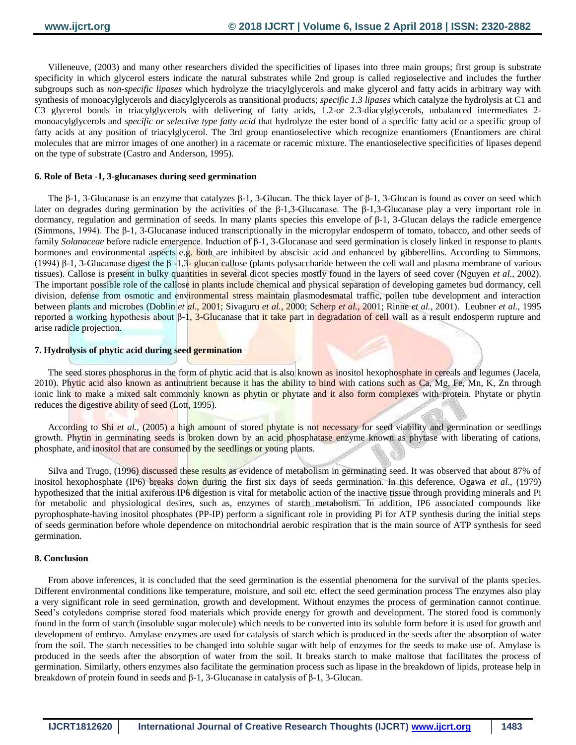Villeneuve, (2003) and many other researchers divided the specificities of lipases into three main groups; first group is substrate specificity in which glycerol esters indicate the natural substrates while 2nd group is called regioselective and includes the further subgroups such as *non-specific lipases* which hydrolyze the triacylglycerols and make glycerol and fatty acids in arbitrary way with synthesis of monoacylglycerols and diacylglycerols as transitional products; *specific 1.3 lipases* which catalyze the hydrolysis at C1 and C3 glycerol bonds in triacylglycerols with delivering of fatty acids, 1.2-or 2.3-diacylglycerols, unbalanced intermediates 2 monoacylglycerols and *specific or selective type fatty acid* that hydrolyze the ester bond of a specific fatty acid or a specific group of fatty acids at any position of triacylglycerol. The 3rd group enantioselective which recognize enantiomers (Enantiomers are chiral molecules that are mirror images of one another) in a racemate or racemic mixture. The enantioselective specificities of lipases depend on the type of substrate (Castro and Anderson, 1995).

# **6. Role of Beta -1, 3-glucanases during seed germination**

The β-1, 3-Glucanase is an enzyme that catalyzes β-1, 3-Glucan. The thick layer of β-1, 3-Glucan is found as cover on seed which later on degrades during germination by the activities of the β-1,3-Glucanase. The β-1,3-Glucanase play a very important role in dormancy, regulation and germination of seeds. In many plants species this envelope of β-1, 3-Glucan delays the radicle emergence (Simmons, 1994). The β-1, 3-Glucanase induced transcriptionally in the micropylar endosperm of tomato, tobacco, and other seeds of family *Solanaceae* before radicle emergence. Induction of β-1, 3-Glucanase and seed germination is closely linked in response to plants hormones and environmental aspects e.g. both are inhibited by abscisic acid and enhanced by gibberellins. According to Simmons, (1994) β-1, 3-Glucanase digest the β-1,3- glucan callose (plants polysaccharide between the cell wall and plasma membrane of various tissues). Callose is present in bulky quantities in several dicot species mostly found in the layers of seed cover (Nguyen *et al.*, 2002). The important possible role of the callose in plants include chemical and physical separation of developing gametes bud dormancy, cell division, defense from osmotic and environmental stress maintain plasmodesmatal traffic, pollen tube development and interaction between plants and microbes (Doblin *et al*., 2001; Sivaguru *et al.*, 2000; Scherp *et al.*, 2001; Rinne *et al.*, 2001). Leubner *et al.*, 1995 reported a working hypothesis about β-1, 3-Glucanase that it take part in degradation of cell wall as a result endosperm rupture and arise radicle projection.

### **7. Hydrolysis of phytic acid during seed germination**

The seed stores phosphorus in the form of phytic acid that is also known as inositol hexophosphate in cereals and legumes (Jacela, 2010). Phytic acid also known as antinutrient because it has the ability to bind with cations such as Ca, Mg, Fe, Mn, K, Zn through ionic link to make a mixed salt commonly known as phytin or phytate and it also form complexes with protein. Phytate or phytin reduces the digestive ability of seed (Lott, 1995).

According to Shi *et al.*, (2005) a high amount of stored phytate is not necessary for seed viability and germination or seedlings growth. Phytin in germinating seeds is broken down by an acid phosphatase enzyme known as phytase with liberating of cations, phosphate, and inositol that are consumed by the seedlings or young plants.

Silva and Trugo, (1996) discussed these results as evidence of metabolism in germinating seed. It was observed that about 87% of inositol hexophosphate (IP6) breaks down during the first six days of seeds germination. In this deference, Ogawa *et al.*, (1979) hypothesized that the initial axiferous IP6 digestion is vital for metabolic action of the inactive tissue through providing minerals and Pi for metabolic and physiological desires, such as, enzymes of starch metabolism. In addition, IP6 associated compounds like pyrophosphate-having inositol phosphates (PP-IP) perform a significant role in providing Pi for ATP synthesis during the initial steps of seeds germination before whole dependence on mitochondrial aerobic respiration that is the main source of ATP synthesis for seed germination.

### **8. Conclusion**

From above inferences, it is concluded that the seed germination is the essential phenomena for the survival of the plants species. Different environmental conditions like temperature, moisture, and soil etc. effect the seed germination process The enzymes also play a very significant role in seed germination, growth and development. Without enzymes the process of germination cannot continue. Seed's cotyledons comprise stored food materials which provide energy for growth and development. The stored food is commonly found in the form of starch (insoluble sugar molecule) which needs to be converted into its soluble form before it is used for growth and development of embryo. Amylase enzymes are used for catalysis of starch which is produced in the seeds after the absorption of water from the soil. The starch necessities to be changed into soluble sugar with help of enzymes for the seeds to make use of. Amylase is produced in the seeds after the absorption of water from the soil. It breaks starch to make maltose that facilitates the process of germination. Similarly, others enzymes also facilitate the germination process such as lipase in the breakdown of lipids, protease help in breakdown of protein found in seeds and β-1, 3-Glucanase in catalysis of β-1, 3-Glucan.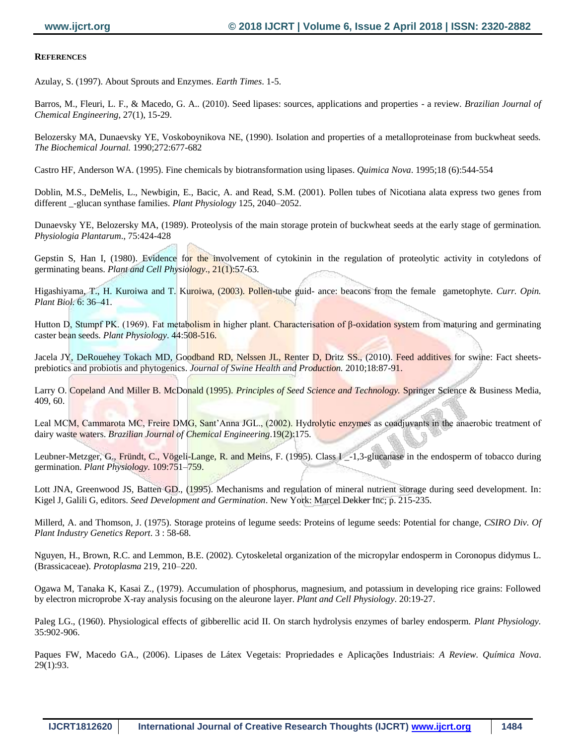# **REFERENCES**

Azulay, S. (1997). About Sprouts and Enzymes. *Earth Times*. 1-5.

Barros, M., Fleuri, L. F., & Macedo, G. A.. (2010). Seed lipases: sources, applications and properties - a review. *Brazilian Journal of Chemical Engineering*, 27(1), 15-29.

Belozersky MA, Dunaevsky YE, Voskoboynikova NE, (1990). Isolation and properties of a metalloproteinase from buckwheat seeds. *The Biochemical Journal.* 1990;272:677-682

Castro HF, Anderson WA. (1995). Fine chemicals by biotransformation using lipases. *Quimica Nova*. 1995;18 (6):544-554

Doblin, M.S., DeMelis, L., Newbigin, E., Bacic, A. and Read, S.M. (2001). Pollen tubes of Nicotiana alata express two genes from different \_-glucan synthase families. *Plant Physiology* 125, 2040–2052.

Dunaevsky YE, Belozersky MA, (1989). Proteolysis of the main storage protein of buckwheat seeds at the early stage of germination. *Physiologia Plantarum*., 75:424-428

Gepstin S, Han I, (1980). Evidence for the involvement of cytokinin in the regulation of proteolytic activity in cotyledons of germinating beans. *Plant and Cell Physiology*., 21(1):57-63.

Higashiyama, T., H. Kuroiwa and T. Kuroiwa, (2003). Pollen-tube guid- ance: beacons from the female gametophyte. *Curr. Opin. Plant Biol.* 6: 36–41.

Hutton D, Stumpf PK. (1969). Fat metabolism in higher plant. Characterisation of β-oxidation system from maturing and germinating caster bean seeds. *Plant Physiology*. 44:508-516.

Jacela JY, DeRouehey Tokach MD, Goodband RD, Nelssen JL, Renter D, Dritz SS., (2010). Feed additives for swine: Fact sheetsprebiotics and probiotis and phytogenics. *Journal of Swine Health and Production.* 2010;18:87-91.

Larry O. Copeland And Miller B. McDonald (1995). *Principles of Seed Science and Technology.* Springer Science & Business Media, 409, 60.

Leal MCM, Cammarota MC, Freire DMG, Sant'Anna JGL., (2002). Hydrolytic enzymes as coadjuvants in the anaerobic treatment of dairy waste waters. *Brazilian Journal of Chemical Engineering*.19(2):175.

Leubner-Metzger, G., Fründt, C., Vögeli-Lange, R. and Meins, F. (1995). Class I -1,3-glucanase in the endosperm of tobacco during germination. *Plant Physiology.* 109:751–759.

Lott JNA, Greenwood JS, Batten GD., (1995). Mechanisms and regulation of mineral nutrient storage during seed development. In: Kigel J, Galili G, editors. *Seed Development and Germination*. New York: Marcel Dekker Inc; p. 215-235.

Millerd, A. and Thomson, J. (1975). Storage proteins of legume seeds: Proteins of legume seeds: Potential for change, *CSIRO Div. Of Plant Industry Genetics Report*. 3 : 58-68.

Nguyen, H., Brown, R.C. and Lemmon, B.E. (2002). Cytoskeletal organization of the micropylar endosperm in Coronopus didymus L. (Brassicaceae). *Protoplasma* 219, 210–220.

Ogawa M, Tanaka K, Kasai Z., (1979). Accumulation of phosphorus, magnesium, and potassium in developing rice grains: Followed by electron microprobe X-ray analysis focusing on the aleurone layer. *Plant and Cell Physiology*. 20:19-27.

Paleg LG., (1960). Physiological effects of gibberellic acid II. On starch hydrolysis enzymes of barley endosperm. *Plant Physiology.* 35:902-906.

Paques FW, Macedo GA., (2006). Lipases de Látex Vegetais: Propriedades e Aplicações Industriais: *A Review. Química Nova*. 29(1):93.